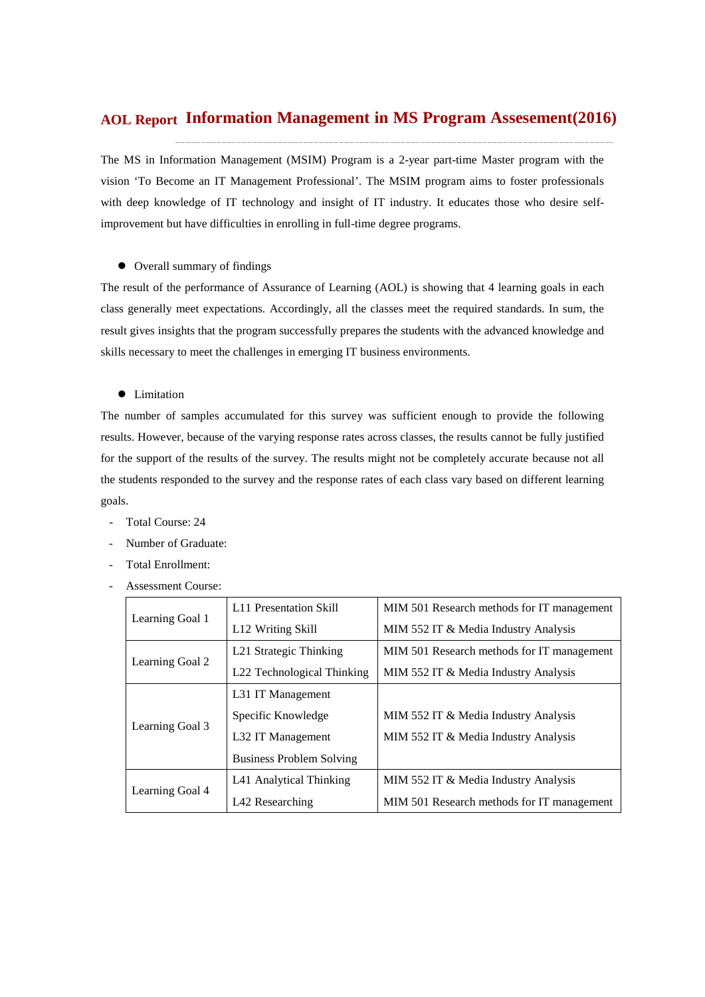# **Information Management in MS Program Assesement(2016) AOL Report**

The MS in Information Management (MSIM) Program is a 2-year part-time Master program with the vision 'To Become an IT Management Professional'. The MSIM program aims to foster professionals with deep knowledge of IT technology and insight of IT industry. It educates those who desire selfimprovement but have difficulties in enrolling in full-time degree programs.

 $\bullet$  Overall summary of findings

The result of the performance of Assurance of Learning (AOL) is showing that 4 learning goals in each class generally meet expectations. Accordingly, all the classes meet the required standards. In sum, the result gives insights that the program successfully prepares the students with the advanced knowledge and skills necessary to meet the challenges in emerging IT business environments.

**•** Limitation

The number of samples accumulated for this survey was sufficient enough to provide the following results. However, because of the varying response rates across classes, the results cannot be fully justified for the support of the results of the survey. The results might not be completely accurate because not all the students responded to the survey and the response rates of each class vary based on different learning goals.

- Total Course: 24
- Number of Graduate:
- Total Enrollment:
- Assessment Course:

|                 | <b>L11 Presentation Skill</b>   | MIM 501 Research methods for IT management |  |  |
|-----------------|---------------------------------|--------------------------------------------|--|--|
| Learning Goal 1 | L <sub>12</sub> Writing Skill   | MIM 552 IT & Media Industry Analysis       |  |  |
|                 | L21 Strategic Thinking          | MIM 501 Research methods for IT management |  |  |
| Learning Goal 2 | L22 Technological Thinking      | MIM 552 IT & Media Industry Analysis       |  |  |
|                 | L <sub>31</sub> IT Management   |                                            |  |  |
|                 | Specific Knowledge              | MIM 552 IT & Media Industry Analysis       |  |  |
| Learning Goal 3 | L32 IT Management               | MIM 552 IT & Media Industry Analysis       |  |  |
|                 | <b>Business Problem Solving</b> |                                            |  |  |
|                 | L41 Analytical Thinking         | MIM 552 IT & Media Industry Analysis       |  |  |
| Learning Goal 4 | L42 Researching                 | MIM 501 Research methods for IT management |  |  |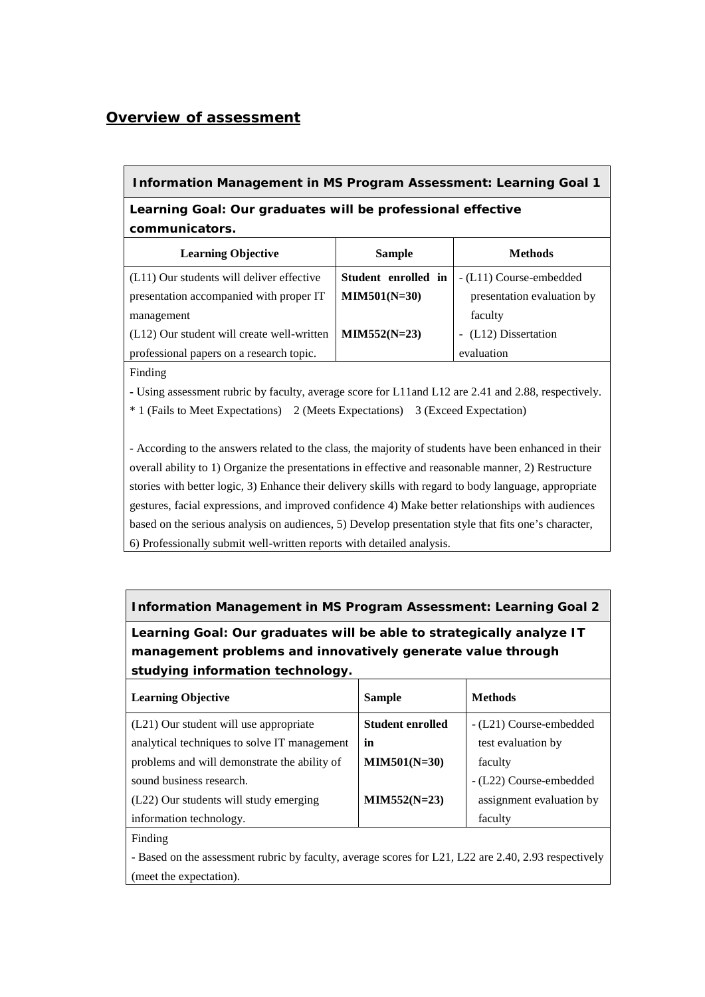# *Overview of assessment*

### **Information Management in MS Program Assessment: Learning Goal 1**

**Learning Goal: Our graduates will be professional effective communicators.**

| <b>Learning Objective</b>                  | <b>Sample</b>       | <b>Methods</b>             |
|--------------------------------------------|---------------------|----------------------------|
| (L11) Our students will deliver effective  | Student enrolled in | - (L11) Course-embedded    |
| presentation accompanied with proper IT    | $MIN501(N=30)$      | presentation evaluation by |
| management                                 |                     | faculty                    |
| (L12) Our student will create well-written | $MIN552(N=23)$      | - (L12) Dissertation       |
| professional papers on a research topic.   |                     | evaluation                 |

Finding

**-** Using assessment rubric by faculty, average score for L11and L12 are 2.41 and 2.88, respectively.

\* 1 (Fails to Meet Expectations) 2 (Meets Expectations) 3 (Exceed Expectation)

- According to the answers related to the class, the majority of students have been enhanced in their overall ability to 1) Organize the presentations in effective and reasonable manner, 2) Restructure stories with better logic, 3) Enhance their delivery skills with regard to body language, appropriate gestures, facial expressions, and improved confidence 4) Make better relationships with audiences based on the serious analysis on audiences, 5) Develop presentation style that fits one's character, 6) Professionally submit well-written reports with detailed analysis.

**Information Management in MS Program Assessment: Learning Goal 2 Learning Goal: Our graduates will be able to strategically analyze IT management problems and innovatively generate value through** 

| <b>Learning Objective</b>                    | <b>Sample</b>           | <b>Methods</b>           |
|----------------------------------------------|-------------------------|--------------------------|
| (L21) Our student will use appropriate       | <b>Student enrolled</b> | - (L21) Course-embedded  |
| analytical techniques to solve IT management | in                      | test evaluation by       |
| problems and will demonstrate the ability of | $MIM501(N=30)$          | faculty                  |
| sound business research.                     |                         | - (L22) Course-embedded  |
| (L22) Our students will study emerging       | $MIN552(N=23)$          | assignment evaluation by |
| information technology.                      |                         | faculty                  |
|                                              |                         |                          |

#### Finding

**studying information technology.** 

- Based on the assessment rubric by faculty, average scores for L21, L22 are 2.40, 2.93 respectively (meet the expectation).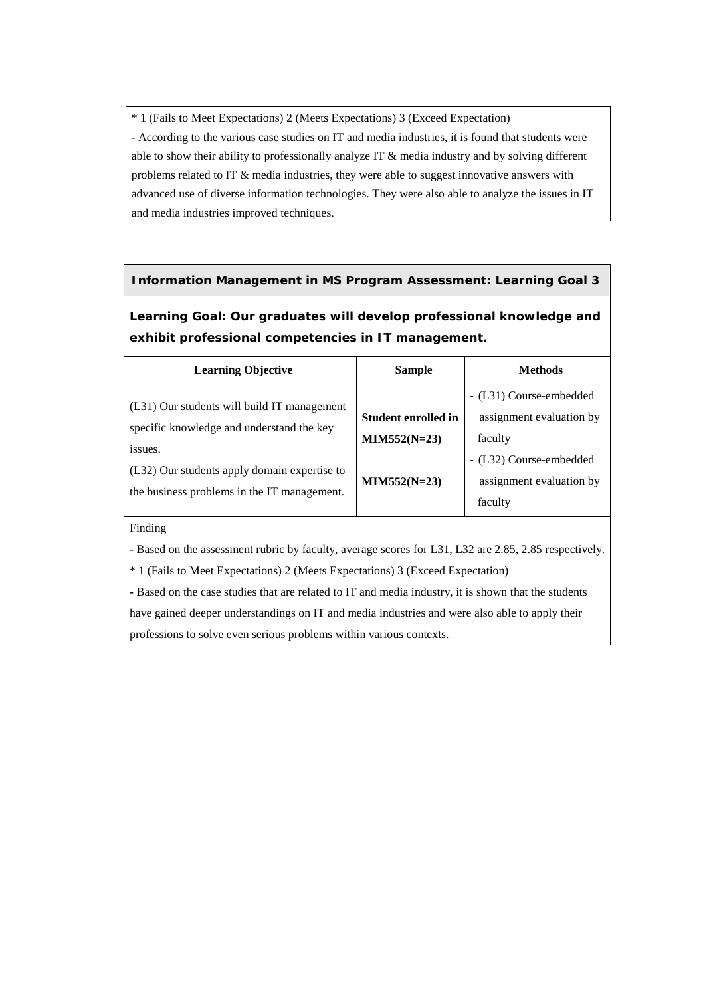\* 1 (Fails to Meet Expectations) 2 (Meets Expectations) 3 (Exceed Expectation) - According to the various case studies on IT and media industries, it is found that students were able to show their ability to professionally analyze IT & media industry and by solving different problems related to IT & media industries, they were able to suggest innovative answers with advanced use of diverse information technologies. They were also able to analyze the issues in IT and media industries improved techniques.

# **Information Management in MS Program Assessment: Learning Goal 3**

**Learning Goal: Our graduates will develop professional knowledge and exhibit professional competencies in IT management.**

| <b>Learning Objective</b>                                                                | <b>Sample</b>       | <b>Methods</b>           |
|------------------------------------------------------------------------------------------|---------------------|--------------------------|
|                                                                                          |                     | - (L31) Course-embedded  |
| (L31) Our students will build IT management<br>specific knowledge and understand the key | Student enrolled in | assignment evaluation by |
|                                                                                          | $MIN552(N=23)$      | faculty                  |
| issues.                                                                                  |                     | - (L32) Course-embedded  |
| (L32) Our students apply domain expertise to                                             | $MIN552(N=23)$      | assignment evaluation by |
| the business problems in the IT management.                                              |                     | faculty                  |

#### Finding

**-** Based on the assessment rubric by faculty, average scores for L31, L32 are 2.85, 2.85 respectively.

\* 1 (Fails to Meet Expectations) 2 (Meets Expectations) 3 (Exceed Expectation)

**-** Based on the case studies that are related to IT and media industry, it is shown that the students have gained deeper understandings on IT and media industries and were also able to apply their professions to solve even serious problems within various contexts.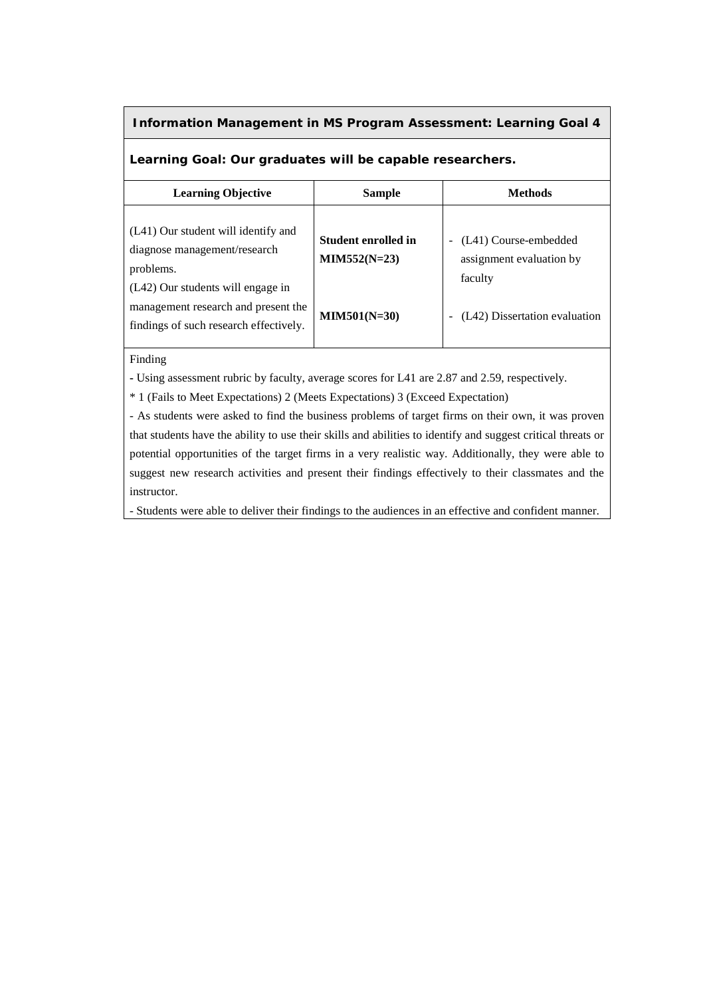# **Information Management in MS Program Assessment: Learning Goal 4**

# **Learning Goal: Our graduates will be capable researchers.**

| <b>Learning Objective</b>                                                                                          | <b>Sample</b>                         | <b>Methods</b>                                               |
|--------------------------------------------------------------------------------------------------------------------|---------------------------------------|--------------------------------------------------------------|
| (L41) Our student will identify and<br>diagnose management/research<br>problems.                                   | Student enrolled in<br>$MIN552(N=23)$ | (L41) Course-embedded<br>assignment evaluation by<br>faculty |
| (L42) Our students will engage in<br>management research and present the<br>findings of such research effectively. | $MIN501(N=30)$                        | (L42) Dissertation evaluation                                |

# Finding

**-** Using assessment rubric by faculty, average scores for L41 are 2.87 and 2.59, respectively.

\* 1 (Fails to Meet Expectations) 2 (Meets Expectations) 3 (Exceed Expectation)

- As students were asked to find the business problems of target firms on their own, it was proven that students have the ability to use their skills and abilities to identify and suggest critical threats or potential opportunities of the target firms in a very realistic way. Additionally, they were able to suggest new research activities and present their findings effectively to their classmates and the instructor.

- Students were able to deliver their findings to the audiences in an effective and confident manner.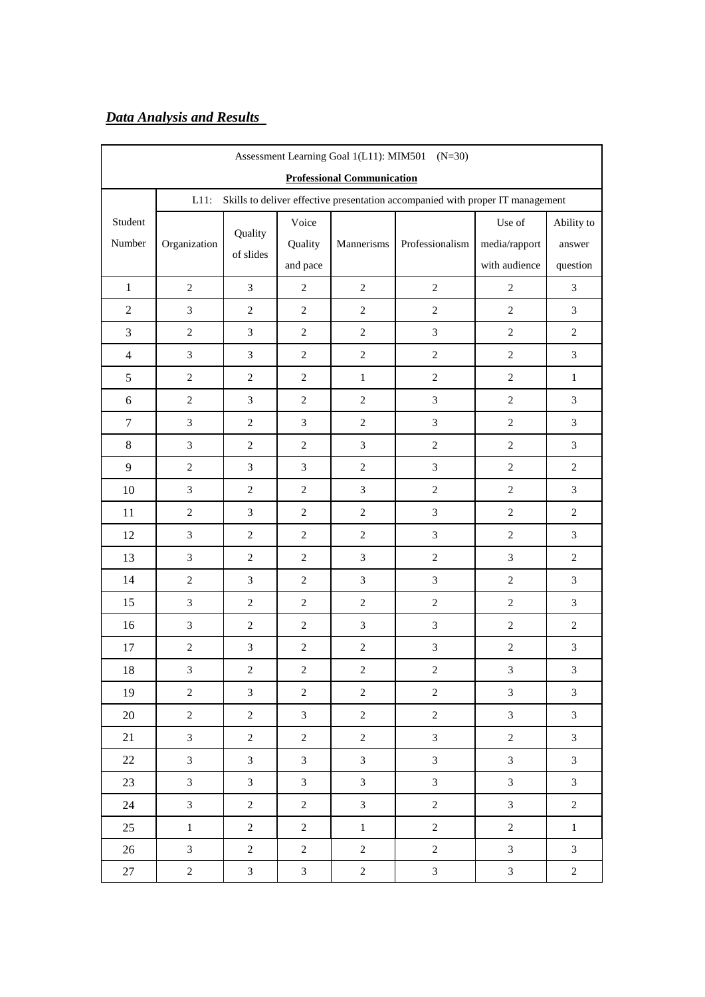# *Data Analysis and Results*

| Assessment Learning Goal 1(L11): MIM501 (N=30) |                |                |                             |                |                                                                                |                             |                |  |
|------------------------------------------------|----------------|----------------|-----------------------------|----------------|--------------------------------------------------------------------------------|-----------------------------|----------------|--|
| <b>Professional Communication</b>              |                |                |                             |                |                                                                                |                             |                |  |
|                                                | $L11$ :        |                |                             |                | Skills to deliver effective presentation accompanied with proper IT management |                             |                |  |
| Student                                        |                | Quality        | Voice                       |                |                                                                                | Use of                      | Ability to     |  |
| Number                                         | Organization   | of slides      | Quality                     | Mannerisms     | Professionalism                                                                | media/rapport               | answer         |  |
|                                                |                |                | and pace                    |                |                                                                                | with audience               | question       |  |
| $\mathbf{1}$                                   | $\overline{2}$ | $\mathfrak{Z}$ | $\mathbf{2}$                | $\overline{2}$ | $\overline{c}$                                                                 | $\sqrt{2}$                  | $\mathfrak{Z}$ |  |
| $\overline{2}$                                 | $\mathfrak{Z}$ | $\sqrt{2}$     | $\sqrt{2}$                  | $\sqrt{2}$     | $\sqrt{2}$                                                                     | $\sqrt{2}$                  | $\mathfrak{Z}$ |  |
| 3                                              | $\overline{2}$ | $\mathfrak{Z}$ | $\sqrt{2}$                  | $\overline{c}$ | $\mathfrak{Z}$                                                                 | $\overline{2}$              | $\overline{c}$ |  |
| $\overline{4}$                                 | 3              | $\mathfrak{Z}$ | $\sqrt{2}$                  | $\overline{c}$ | $\sqrt{2}$                                                                     | $\sqrt{2}$                  | $\mathfrak{Z}$ |  |
| $\sqrt{5}$                                     | $\sqrt{2}$     | $\sqrt{2}$     | $\sqrt{2}$                  | $\,1$          | $\sqrt{2}$                                                                     | $\sqrt{2}$                  | $\,1\,$        |  |
| $\boldsymbol{6}$                               | $\overline{2}$ | $\mathfrak{Z}$ | $\sqrt{2}$                  | $\overline{2}$ | $\mathfrak{Z}$                                                                 | $\overline{2}$              | $\mathfrak{Z}$ |  |
| $\boldsymbol{7}$                               | 3              | $\sqrt{2}$     | $\mathfrak{Z}$              | $\sqrt{2}$     | $\mathfrak{Z}$                                                                 | $\overline{2}$              | $\mathfrak{Z}$ |  |
| $\,8\,$                                        | $\mathfrak{Z}$ | $\sqrt{2}$     | $\sqrt{2}$                  | $\mathfrak{Z}$ | $\sqrt{2}$                                                                     | $\sqrt{2}$                  | $\mathfrak{Z}$ |  |
| 9                                              | $\overline{2}$ | $\mathfrak{Z}$ | $\boldsymbol{\mathfrak{Z}}$ | $\overline{c}$ | $\mathfrak{Z}$                                                                 | $\overline{2}$              | $\overline{c}$ |  |
| 10                                             | $\mathfrak{Z}$ | $\sqrt{2}$     | $\sqrt{2}$                  | 3              | $\sqrt{2}$                                                                     | $\overline{2}$              | 3              |  |
| 11                                             | $\sqrt{2}$     | $\mathfrak{Z}$ | $\sqrt{2}$                  | $\sqrt{2}$     | $\mathfrak{Z}$                                                                 | $\sqrt{2}$                  | $\sqrt{2}$     |  |
| 12                                             | $\mathfrak{Z}$ | $\sqrt{2}$     | $\boldsymbol{2}$            | $\sqrt{2}$     | $\sqrt{3}$                                                                     | $\mathbf{2}$                | $\mathfrak{Z}$ |  |
| 13                                             | 3              | $\sqrt{2}$     | $\mathbf{2}$                | 3              | $\overline{2}$                                                                 | 3                           | $\overline{c}$ |  |
| 14                                             | $\sqrt{2}$     | $\mathfrak{Z}$ | $\sqrt{2}$                  | $\mathfrak{Z}$ | $\sqrt{3}$                                                                     | $\sqrt{2}$                  | $\mathfrak{Z}$ |  |
| 15                                             | 3              | $\sqrt{2}$     | $\overline{c}$              | $\overline{c}$ | $\overline{c}$                                                                 | $\overline{2}$              | 3              |  |
| 16                                             | 3              | $\sqrt{2}$     | $\sqrt{2}$                  | $\overline{3}$ | $\mathfrak{Z}$                                                                 | $\sqrt{2}$                  | $\sqrt{2}$     |  |
| 17                                             | $\sqrt{2}$     | $\mathfrak{Z}$ | $\sqrt{2}$                  | $\sqrt{2}$     | $\ensuremath{\mathfrak{Z}}$                                                    | $\sqrt{2}$                  | $\mathfrak{Z}$ |  |
| 18                                             | $\mathfrak{Z}$ | $\sqrt{2}$     | $\,2$                       | $\sqrt{2}$     | $\sqrt{2}$                                                                     | $\mathfrak{Z}$              | $\mathfrak{Z}$ |  |
| 19                                             | $\overline{2}$ | $\overline{3}$ | $\overline{2}$              | $\mathbf{2}$   | $\overline{2}$                                                                 | $\mathfrak{Z}$              | $\mathfrak{Z}$ |  |
| 20                                             | $\sqrt{2}$     | $\overline{c}$ | $\mathfrak{Z}$              | $\overline{c}$ | $\sqrt{2}$                                                                     | $\mathfrak{Z}$              | $\mathfrak{Z}$ |  |
| 21                                             | 3              | $\overline{c}$ | $\overline{c}$              | $\overline{2}$ | $\mathfrak{Z}$                                                                 | $\overline{c}$              | $\mathfrak{Z}$ |  |
| $22\,$                                         | $\mathfrak{Z}$ | $\mathfrak{Z}$ | 3                           | $\overline{3}$ | $\mathfrak{Z}$                                                                 | $\mathfrak{Z}$              | $\mathfrak{Z}$ |  |
| 23                                             | $\mathfrak{Z}$ | $\overline{3}$ | $\mathfrak{Z}$              | $\mathfrak{Z}$ | $\mathfrak{Z}$                                                                 | $\mathfrak{Z}$              | $\mathfrak{Z}$ |  |
| 24                                             | 3              | $\overline{c}$ | $\overline{c}$              | 3              | $\sqrt{2}$                                                                     | $\mathfrak{Z}$              | $\sqrt{2}$     |  |
| 25                                             | $\,1$          | $\overline{c}$ | $\sqrt{2}$                  | $\,1\,$        | $\sqrt{2}$                                                                     | $\sqrt{2}$                  | $\mathbf{1}$   |  |
| 26                                             | $\mathfrak{Z}$ | $\sqrt{2}$     | $\sqrt{2}$                  | $\sqrt{2}$     | $\sqrt{2}$                                                                     | $\mathfrak{Z}$              | $\mathfrak{Z}$ |  |
| 27                                             | $\sqrt{2}$     | $\mathfrak{Z}$ | $\mathfrak{Z}$              | $\overline{c}$ | $\mathfrak{Z}$                                                                 | $\ensuremath{\mathfrak{Z}}$ | $\sqrt{2}$     |  |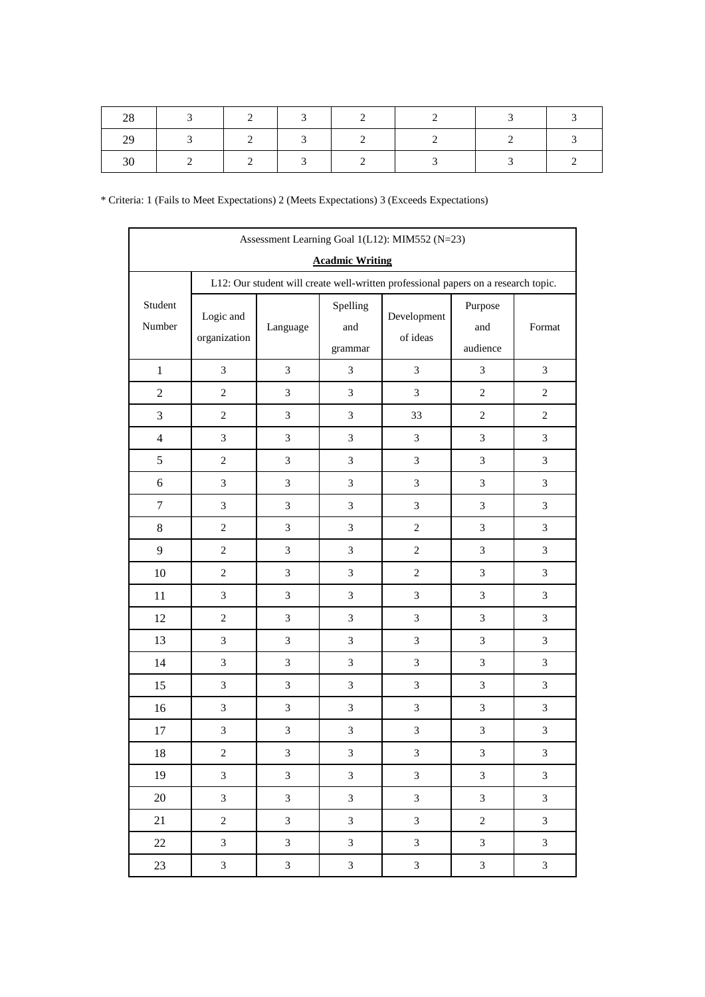| Assessment Learning Goal 1(L12): MIM552 (N=23) |                                                                                    |                |                            |                         |                            |                             |  |  |  |
|------------------------------------------------|------------------------------------------------------------------------------------|----------------|----------------------------|-------------------------|----------------------------|-----------------------------|--|--|--|
| <b>Acadmic Writing</b>                         |                                                                                    |                |                            |                         |                            |                             |  |  |  |
|                                                | L12: Our student will create well-written professional papers on a research topic. |                |                            |                         |                            |                             |  |  |  |
| Student<br>Number                              | Logic and<br>organization                                                          | Language       | Spelling<br>and<br>grammar | Development<br>of ideas | Purpose<br>and<br>audience | Format                      |  |  |  |
| $\mathbf{1}$                                   | $\mathfrak{Z}$                                                                     | $\mathfrak{Z}$ | 3                          | $\mathfrak{Z}$          | $\mathfrak{Z}$             | $\mathfrak{Z}$              |  |  |  |
| $\overline{2}$                                 | $\overline{c}$                                                                     | 3              | 3                          | 3                       | $\overline{2}$             | $\overline{2}$              |  |  |  |
| 3                                              | $\overline{c}$                                                                     | $\mathfrak{Z}$ | 3                          | 33                      | $\overline{2}$             | $\overline{c}$              |  |  |  |
| $\overline{4}$                                 | $\mathfrak{Z}$                                                                     | 3              | $\mathfrak{Z}$             | $\mathfrak{Z}$          | $\mathfrak{Z}$             | $\mathfrak{Z}$              |  |  |  |
| 5                                              | $\overline{c}$                                                                     | 3              | 3                          | $\mathfrak{Z}$          | $\mathfrak{Z}$             | 3                           |  |  |  |
| 6                                              | 3                                                                                  | 3              | 3                          | $\mathfrak{Z}$          | $\mathfrak{Z}$             | $\mathfrak{Z}$              |  |  |  |
| $\tau$                                         | $\mathfrak{Z}$                                                                     | $\mathfrak{Z}$ | 3                          | $\mathfrak{Z}$          | $\mathfrak{Z}$             | $\mathfrak{Z}$              |  |  |  |
| $8\,$                                          | $\overline{c}$                                                                     | 3              | 3                          | $\mathbf{2}$            | $\mathfrak{Z}$             | 3                           |  |  |  |
| $\mathbf{9}$                                   | $\overline{c}$                                                                     | 3              | 3                          | $\sqrt{2}$              | $\mathfrak{Z}$             | $\mathfrak{Z}$              |  |  |  |
| 10                                             | $\overline{c}$                                                                     | $\mathfrak{Z}$ | 3                          | $\sqrt{2}$              | $\mathfrak{Z}$             | $\mathfrak{Z}$              |  |  |  |
| 11                                             | 3                                                                                  | 3              | $\mathfrak{Z}$             | $\mathfrak{Z}$          | $\mathfrak{Z}$             | $\mathfrak{Z}$              |  |  |  |
| 12                                             | $\sqrt{2}$                                                                         | 3              | 3                          | $\mathfrak{Z}$          | $\mathfrak{Z}$             | $\mathfrak{Z}$              |  |  |  |
| 13                                             | $\mathfrak{Z}$                                                                     | $\mathfrak{Z}$ | $\mathfrak{Z}$             | $\mathfrak{Z}$          | $\mathfrak{Z}$             | $\mathfrak{Z}$              |  |  |  |
| 14                                             | $\mathfrak{Z}$                                                                     | $\mathfrak{Z}$ | 3                          | $\mathfrak{Z}$          | $\mathfrak{Z}$             | $\mathfrak{Z}$              |  |  |  |
| 15                                             | 3                                                                                  | $\overline{3}$ | 3                          | 3                       | $\overline{3}$             | $\mathfrak{Z}$              |  |  |  |
| 16                                             | $\mathfrak{Z}$                                                                     | 3              | $\mathfrak{Z}$             | $\mathfrak{Z}$          | $\mathfrak{Z}$             | $\mathfrak{Z}$              |  |  |  |
| 17                                             | $\mathfrak{Z}$                                                                     | $\mathfrak{Z}$ | 3                          | $\mathfrak{Z}$          | 3                          | 3                           |  |  |  |
| 18                                             | $\sqrt{2}$                                                                         | $\mathfrak{Z}$ | 3                          | 3                       | 3                          | 3                           |  |  |  |
| 19                                             | $\mathfrak{Z}$                                                                     | $\mathfrak{Z}$ | $\mathfrak{Z}$             | $\mathfrak{Z}$          | $\mathfrak{Z}$             | $\mathfrak{Z}$              |  |  |  |
| 20                                             | $\overline{3}$                                                                     | $\mathfrak{Z}$ | 3                          | $\overline{3}$          | $\mathfrak{Z}$             | $\mathfrak{Z}$              |  |  |  |
| 21                                             | $\overline{c}$                                                                     | $\mathfrak{Z}$ | 3                          | $\mathfrak{Z}$          | $\boldsymbol{2}$           | $\mathfrak{Z}$              |  |  |  |
| 22                                             | $\overline{3}$                                                                     | $\mathfrak{Z}$ | 3                          | $\overline{3}$          | $\mathfrak{Z}$             | $\mathfrak{Z}$              |  |  |  |
| 23                                             | $\mathfrak{Z}$                                                                     | $\sqrt{3}$     | $\mathfrak{Z}$             | $\overline{3}$          | $\mathfrak{Z}$             | $\ensuremath{\mathfrak{Z}}$ |  |  |  |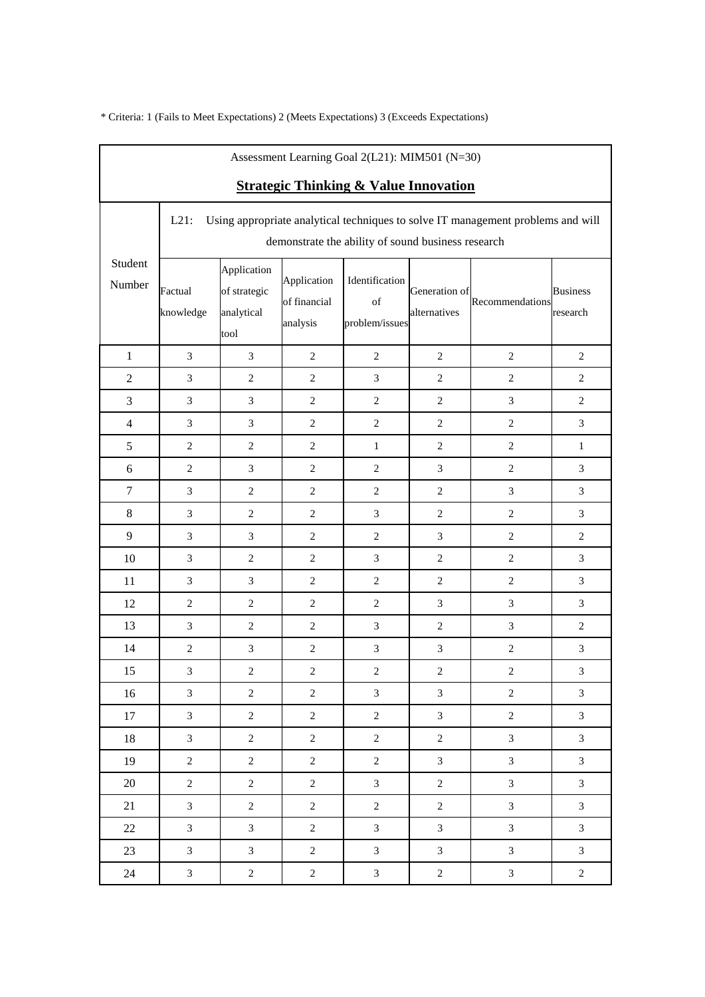| Assessment Learning Goal 2(L21): MIM501 (N=30)   |                                                                                                                                                   |                                                   |                                         |                                        |                               |                 |                             |  |
|--------------------------------------------------|---------------------------------------------------------------------------------------------------------------------------------------------------|---------------------------------------------------|-----------------------------------------|----------------------------------------|-------------------------------|-----------------|-----------------------------|--|
| <b>Strategic Thinking &amp; Value Innovation</b> |                                                                                                                                                   |                                                   |                                         |                                        |                               |                 |                             |  |
|                                                  | Using appropriate analytical techniques to solve IT management problems and will<br>$L21$ :<br>demonstrate the ability of sound business research |                                                   |                                         |                                        |                               |                 |                             |  |
| Student<br>Number                                | Factual<br>knowledge                                                                                                                              | Application<br>of strategic<br>analytical<br>tool | Application<br>of financial<br>analysis | Identification<br>of<br>problem/issues | Generation of<br>alternatives | Recommendations | <b>Business</b><br>research |  |
| $\mathbf{1}$                                     | $\mathfrak{Z}$                                                                                                                                    | 3                                                 | $\overline{2}$                          | $\overline{2}$                         | $\overline{2}$                | $\overline{2}$  | $\overline{c}$              |  |
| $\overline{2}$                                   | $\mathfrak{Z}$                                                                                                                                    | $\sqrt{2}$                                        | $\sqrt{2}$                              | $\mathfrak{Z}$                         | $\sqrt{2}$                    | $\overline{c}$  | $\overline{c}$              |  |
| 3                                                | 3                                                                                                                                                 | $\mathfrak{Z}$                                    | $\overline{2}$                          | $\overline{c}$                         | $\overline{2}$                | $\mathfrak{Z}$  | 2                           |  |
| $\overline{4}$                                   | $\mathfrak{Z}$                                                                                                                                    | $\mathfrak{Z}$                                    | $\overline{2}$                          | $\sqrt{2}$                             | $\overline{2}$                | $\overline{c}$  | 3                           |  |
| $\sqrt{5}$                                       | $\overline{2}$                                                                                                                                    | $\sqrt{2}$                                        | $\overline{c}$                          | $\mathbf{1}$                           | $\overline{2}$                | $\sqrt{2}$      | $\mathbf{1}$                |  |
| 6                                                | $\overline{2}$                                                                                                                                    | $\mathfrak{Z}$                                    | $\overline{2}$                          | $\mathbf{2}$                           | 3                             | $\overline{c}$  | 3                           |  |
| $\tau$                                           | $\mathfrak{Z}$                                                                                                                                    | $\sqrt{2}$                                        | $\overline{2}$                          | $\overline{c}$                         | $\overline{2}$                | $\mathfrak{Z}$  | 3                           |  |
| $\,8\,$                                          | $\mathfrak{Z}$                                                                                                                                    | $\sqrt{2}$                                        | $\sqrt{2}$                              | $\mathfrak{Z}$                         | $\overline{2}$                | $\overline{c}$  | 3                           |  |
| 9                                                | 3                                                                                                                                                 | $\mathfrak{Z}$                                    | $\overline{2}$                          | $\sqrt{2}$                             | 3                             | $\overline{c}$  | $\overline{c}$              |  |
| 10                                               | $\mathfrak{Z}$                                                                                                                                    | $\overline{c}$                                    | $\overline{2}$                          | $\mathfrak{Z}$                         | $\overline{2}$                | $\overline{c}$  | 3                           |  |
| 11                                               | $\mathfrak{Z}$                                                                                                                                    | $\mathfrak{Z}$                                    | $\overline{2}$                          | $\sqrt{2}$                             | $\sqrt{2}$                    | $\sqrt{2}$      | 3                           |  |
| 12                                               | $\overline{2}$                                                                                                                                    | $\overline{c}$                                    | 2                                       | $\mathbf{2}$                           | 3                             | 3               | 3                           |  |
| 13                                               | $\mathfrak{Z}$                                                                                                                                    | $\sqrt{2}$                                        | $\overline{2}$                          | $\mathfrak{Z}$                         | $\overline{2}$                | $\mathfrak{Z}$  | $\overline{c}$              |  |
| 14                                               | $\sqrt{2}$                                                                                                                                        | $\mathfrak{Z}$                                    | $\overline{2}$                          | $\ensuremath{\mathfrak{Z}}$            | $\mathfrak{Z}$                | $\sqrt{2}$      | $\mathfrak{Z}$              |  |
| 15                                               | 3                                                                                                                                                 | $\sqrt{2}$                                        | $\overline{c}$                          | $\sqrt{2}$                             | $\sqrt{2}$                    | $\sqrt{2}$      | 3                           |  |
| 16                                               | 3                                                                                                                                                 | $\overline{c}$                                    | 2                                       | 3                                      | 3                             | $\mathbf{2}$    | 3                           |  |
| 17                                               | $\mathfrak{Z}$                                                                                                                                    | $\overline{c}$                                    | $\overline{2}$                          | $\boldsymbol{2}$                       | $\mathfrak{Z}$                | $\sqrt{2}$      | 3                           |  |
| 18                                               | 3                                                                                                                                                 | $\overline{c}$                                    | $\overline{2}$                          | $\overline{2}$                         | $\overline{2}$                | $\mathfrak{Z}$  | 3                           |  |
| 19                                               | $\sqrt{2}$                                                                                                                                        | $\overline{c}$                                    | $\overline{2}$                          | $\overline{c}$                         | $\overline{3}$                | $\mathfrak{Z}$  | $\overline{3}$              |  |
| 20                                               | $\overline{2}$                                                                                                                                    | $\overline{c}$                                    | $\overline{2}$                          | $\mathfrak{Z}$                         | $\overline{c}$                | $\mathfrak{Z}$  | 3                           |  |
| 21                                               | 3                                                                                                                                                 | $\overline{c}$                                    | $\overline{2}$                          | $\overline{c}$                         | $\overline{2}$                | $\mathfrak{Z}$  | $\mathfrak{Z}$              |  |
| 22                                               | $\mathfrak{Z}$                                                                                                                                    | $\overline{3}$                                    | $\overline{2}$                          | $\mathfrak{Z}$                         | $\overline{3}$                | $\mathfrak{Z}$  | 3                           |  |
| 23                                               | $\mathfrak{Z}$                                                                                                                                    | $\mathfrak{Z}$                                    | $\overline{2}$                          | $\mathfrak{Z}$                         | 3                             | $\mathfrak{Z}$  | 3                           |  |
| 24                                               | $\mathfrak{Z}$                                                                                                                                    | $\sqrt{2}$                                        | $\boldsymbol{2}$                        | $\mathfrak{Z}$                         | $\overline{c}$                | $\mathfrak{Z}$  | $\overline{c}$              |  |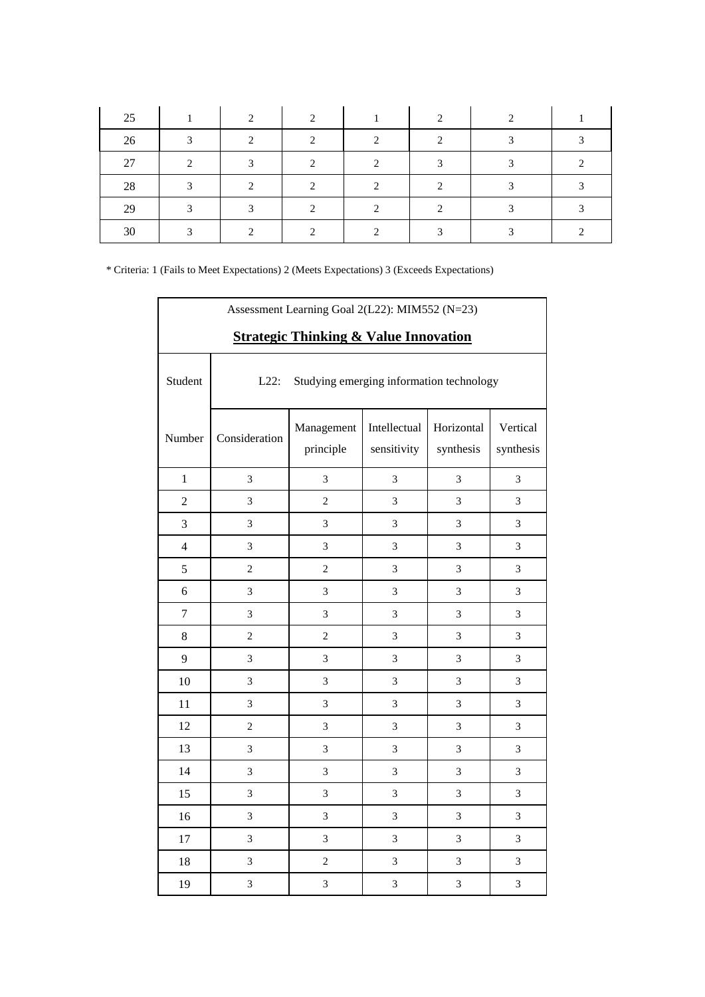| 25 |   | ◠ | ◠ |   |  |  |
|----|---|---|---|---|--|--|
| 26 | ◠ | ◠ | ◠ | ◠ |  |  |
| 27 |   |   |   |   |  |  |
| 28 |   |   |   |   |  |  |
| 29 |   |   |   |   |  |  |
| 30 |   |   |   |   |  |  |

| Assessment Learning Goal 2(L22): MIM552 (N=23)<br><b>Strategic Thinking &amp; Value Innovation</b> |                                                     |                         |                             |                         |                       |  |  |
|----------------------------------------------------------------------------------------------------|-----------------------------------------------------|-------------------------|-----------------------------|-------------------------|-----------------------|--|--|
| Student                                                                                            | $L22$ :<br>Studying emerging information technology |                         |                             |                         |                       |  |  |
| Number                                                                                             | Consideration                                       | Management<br>principle | Intellectual<br>sensitivity | Horizontal<br>synthesis | Vertical<br>synthesis |  |  |
| $\mathbf{1}$                                                                                       | 3                                                   | 3                       | 3                           | 3                       | 3                     |  |  |
| $\overline{2}$                                                                                     | 3                                                   | $\overline{c}$          | 3                           | 3                       | 3                     |  |  |
| 3                                                                                                  | $\mathfrak{Z}$                                      | 3                       | 3                           | $\mathfrak{Z}$          | 3                     |  |  |
| $\overline{4}$                                                                                     | 3                                                   | 3                       | $\mathfrak{Z}$              | $\mathfrak{Z}$          | $\mathfrak{Z}$        |  |  |
| 5                                                                                                  | 2                                                   | $\overline{2}$          | 3                           | 3                       | 3                     |  |  |
| 6                                                                                                  | 3                                                   | 3                       | $\mathfrak{Z}$              | $\mathfrak{Z}$          | 3                     |  |  |
| $\overline{7}$                                                                                     | $\mathfrak{Z}$                                      | 3                       | $\mathfrak{Z}$              | $\mathfrak{Z}$          | $\mathfrak{Z}$        |  |  |
| 8                                                                                                  | $\overline{c}$                                      | $\overline{c}$          | 3                           | 3                       | 3                     |  |  |
| 9                                                                                                  | 3                                                   | 3                       | 3                           | 3                       | 3                     |  |  |
| 10                                                                                                 | 3                                                   | 3                       | 3                           | $\mathfrak{Z}$          | 3                     |  |  |
| 11                                                                                                 | 3                                                   | 3                       | $\mathfrak{Z}$              | $\mathfrak{Z}$          | 3                     |  |  |
| 12                                                                                                 | $\overline{c}$                                      | 3                       | 3                           | 3                       | 3                     |  |  |
| 13                                                                                                 | 3                                                   | 3                       | 3                           | 3                       | 3                     |  |  |
| 14                                                                                                 | 3                                                   | 3                       | 3                           | $\mathfrak{Z}$          | 3                     |  |  |
| 15                                                                                                 | 3                                                   | 3                       | 3                           | $\mathfrak{Z}$          | 3                     |  |  |
| 16                                                                                                 | 3                                                   | 3                       | 3                           | 3                       | 3                     |  |  |
| 17                                                                                                 | 3                                                   | 3                       | 3                           | 3                       | 3                     |  |  |
| 18                                                                                                 | $\mathfrak{Z}$                                      | $\overline{c}$          | $\mathfrak{Z}$              | $\mathfrak{Z}$          | 3                     |  |  |
| 19                                                                                                 | 3                                                   | 3                       | $\sqrt{3}$                  | $\sqrt{3}$              | $\mathfrak{Z}$        |  |  |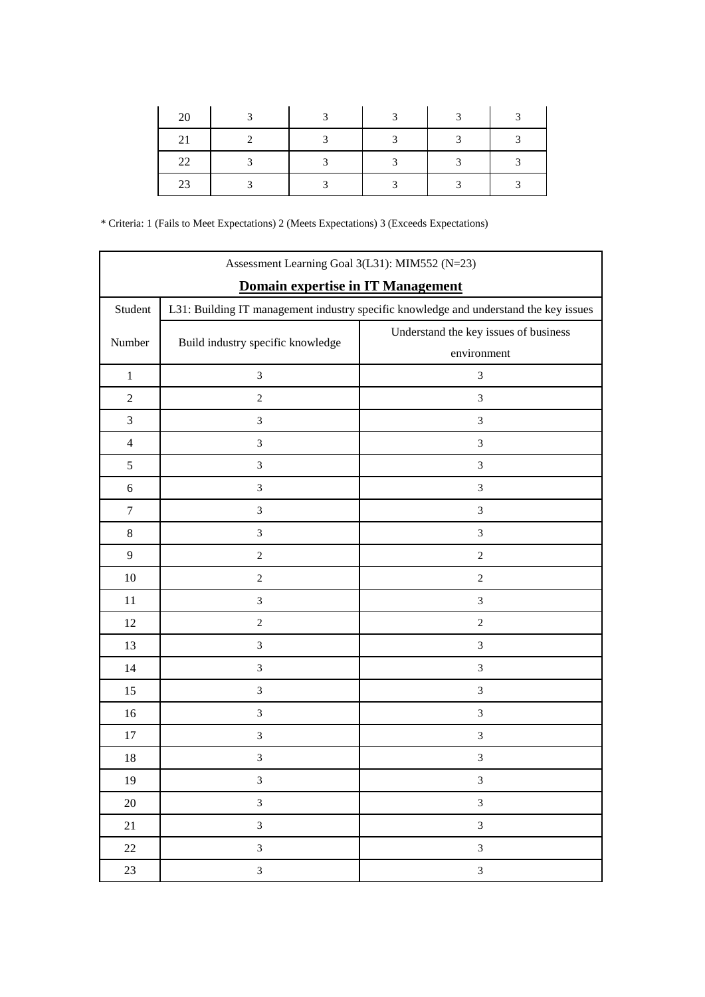| 20 |  | $\overline{a}$ | $\mathbf{c}$ | $\mathbf{c}$ |
|----|--|----------------|--------------|--------------|
|    |  | $\overline{a}$ | ◠            |              |
| 22 |  | 2              |              |              |
| 23 |  | 2              |              |              |

| Assessment Learning Goal 3(L31): MIM552 (N=23) |                                                                                       |                                       |  |  |  |
|------------------------------------------------|---------------------------------------------------------------------------------------|---------------------------------------|--|--|--|
| Domain expertise in IT Management              |                                                                                       |                                       |  |  |  |
| Student                                        | L31: Building IT management industry specific knowledge and understand the key issues |                                       |  |  |  |
| Number                                         | Build industry specific knowledge                                                     | Understand the key issues of business |  |  |  |
|                                                |                                                                                       | environment                           |  |  |  |
| $\mathbf{1}$                                   | $\ensuremath{\mathfrak{Z}}$                                                           | $\mathfrak{Z}$                        |  |  |  |
| $\mathfrak{2}$                                 | $\overline{c}$                                                                        | $\mathfrak{Z}$                        |  |  |  |
| $\mathfrak{Z}$                                 | 3                                                                                     | $\mathfrak{Z}$                        |  |  |  |
| $\overline{4}$                                 | $\sqrt{3}$                                                                            | $\mathfrak{Z}$                        |  |  |  |
| $\mathfrak{S}$                                 | $\mathfrak{Z}$                                                                        | $\boldsymbol{\mathfrak{Z}}$           |  |  |  |
| $\sqrt{6}$                                     | $\mathfrak{Z}$                                                                        | $\mathfrak 3$                         |  |  |  |
| $\tau$                                         | $\sqrt{3}$                                                                            | $\mathfrak{Z}$                        |  |  |  |
| $\,8\,$                                        | $\ensuremath{\mathfrak{Z}}$                                                           | $\mathfrak{Z}$                        |  |  |  |
| $\overline{9}$                                 | $\sqrt{2}$                                                                            | $\sqrt{2}$                            |  |  |  |
| 10                                             | $\sqrt{2}$                                                                            | $\sqrt{2}$                            |  |  |  |
| 11                                             | $\mathfrak{Z}$                                                                        | $\mathfrak{Z}$                        |  |  |  |
| 12                                             | $\sqrt{2}$                                                                            | $\sqrt{2}$                            |  |  |  |
| 13                                             | $\sqrt{3}$                                                                            | $\mathfrak{Z}$                        |  |  |  |
| 14                                             | $\sqrt{3}$                                                                            | $\mathfrak{Z}$                        |  |  |  |
| 15                                             | $\mathfrak{Z}$                                                                        | $\mathfrak 3$                         |  |  |  |
| 16                                             | $\ensuremath{\mathfrak{Z}}$                                                           | $\mathfrak{Z}$                        |  |  |  |
| 17                                             | $\sqrt{3}$                                                                            | $\mathfrak{Z}$                        |  |  |  |
| 18                                             | 3                                                                                     | $\mathfrak{Z}$                        |  |  |  |
| 19                                             | $\mathfrak{Z}$                                                                        | $\ensuremath{\mathfrak{Z}}$           |  |  |  |
| $20\,$                                         | $\mathfrak{Z}$                                                                        | $\mathfrak{Z}$                        |  |  |  |
| 21                                             | $\mathfrak{Z}$                                                                        | $\overline{3}$                        |  |  |  |
| $22\,$                                         | $\mathfrak{Z}$                                                                        | $\ensuremath{\mathfrak{Z}}$           |  |  |  |
| 23                                             | $\mathfrak{Z}$                                                                        | $\mathfrak{Z}$                        |  |  |  |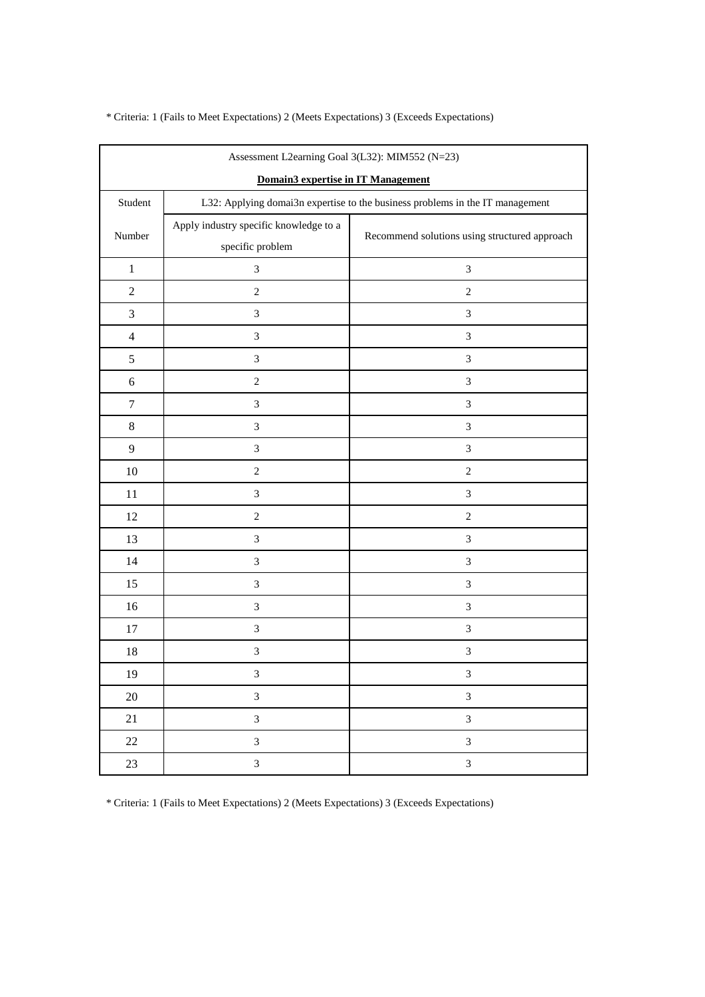| Assessment L2earning Goal 3(L32): MIM552 (N=23) |                                                                               |                                               |  |  |  |
|-------------------------------------------------|-------------------------------------------------------------------------------|-----------------------------------------------|--|--|--|
| Domain3 expertise in IT Management              |                                                                               |                                               |  |  |  |
| Student                                         | L32: Applying domai3n expertise to the business problems in the IT management |                                               |  |  |  |
| Number                                          | Apply industry specific knowledge to a<br>specific problem                    | Recommend solutions using structured approach |  |  |  |
| $\,1$                                           | 3                                                                             | $\mathfrak{Z}$                                |  |  |  |
| $\sqrt{2}$                                      | $\boldsymbol{2}$                                                              | $\sqrt{2}$                                    |  |  |  |
| $\mathfrak{Z}$                                  | 3                                                                             | $\ensuremath{\mathfrak{Z}}$                   |  |  |  |
| $\overline{4}$                                  | 3                                                                             | $\ensuremath{\mathfrak{Z}}$                   |  |  |  |
| 5                                               | $\mathfrak{Z}$                                                                | $\ensuremath{\mathfrak{Z}}$                   |  |  |  |
| $\sqrt{6}$                                      | $\sqrt{2}$                                                                    | $\ensuremath{\mathfrak{Z}}$                   |  |  |  |
| $\boldsymbol{7}$                                | $\mathfrak{Z}$                                                                | $\mathfrak{Z}$                                |  |  |  |
| $\,8\,$                                         | $\mathfrak{Z}$                                                                | $\mathfrak{Z}$                                |  |  |  |
| $\mathbf{9}$                                    | $\mathfrak{Z}$                                                                | $\ensuremath{\mathfrak{Z}}$                   |  |  |  |
| $10\,$                                          | $\sqrt{2}$                                                                    | $\sqrt{2}$                                    |  |  |  |
| 11                                              | $\mathfrak{Z}$                                                                | $\ensuremath{\mathfrak{Z}}$                   |  |  |  |
| 12                                              | $\sqrt{2}$                                                                    | $\sqrt{2}$                                    |  |  |  |
| 13                                              | 3                                                                             | $\mathfrak{Z}$                                |  |  |  |
| 14                                              | $\mathfrak{Z}$                                                                | $\mathfrak{Z}$                                |  |  |  |
| 15                                              | $\mathfrak{Z}$                                                                | $\mathfrak{Z}$                                |  |  |  |
| 16                                              | $\mathfrak{Z}$                                                                | $\ensuremath{\mathfrak{Z}}$                   |  |  |  |
| 17                                              | $\mathfrak{Z}$                                                                | $\ensuremath{\mathfrak{Z}}$                   |  |  |  |
| 18                                              | $\mathfrak{Z}$                                                                | $\ensuremath{\mathfrak{Z}}$                   |  |  |  |
| 19                                              | 3                                                                             | $\ensuremath{\mathfrak{Z}}$                   |  |  |  |
| $20\,$                                          | $\mathfrak{Z}$                                                                | $\mathfrak{Z}$                                |  |  |  |
| $21\,$                                          | $\overline{\mathbf{3}}$                                                       | $\mathfrak{Z}$                                |  |  |  |
| $22\,$                                          | $\overline{3}$                                                                | $\ensuremath{\mathfrak{Z}}$                   |  |  |  |
| 23                                              | $\overline{3}$                                                                | $\mathfrak{Z}$                                |  |  |  |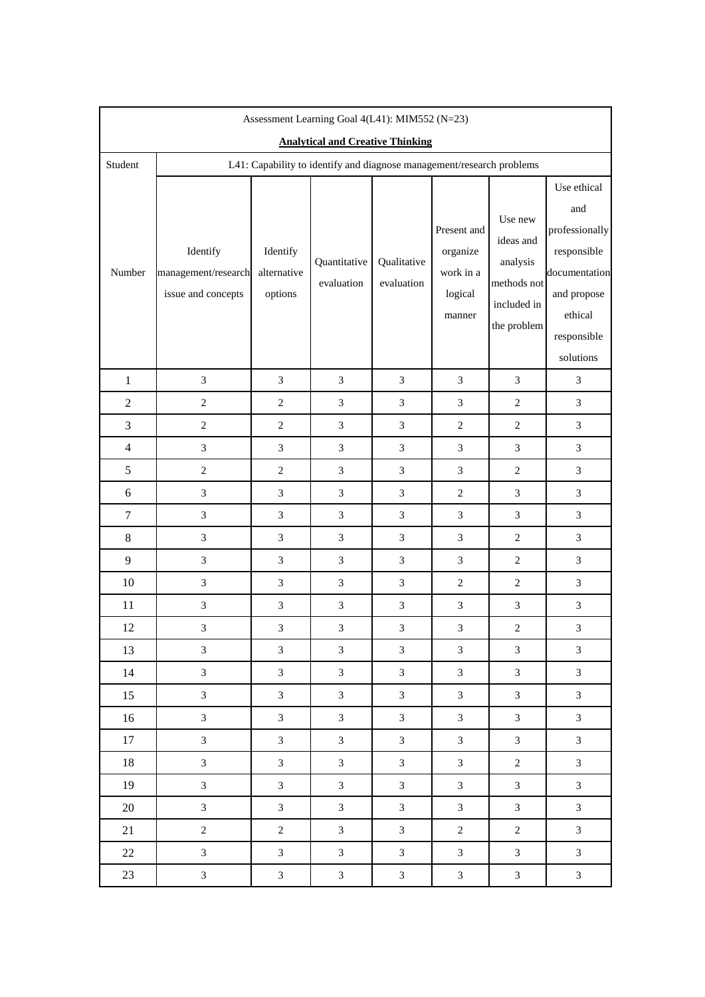| Assessment Learning Goal 4(L41): MIM552 (N=23) |                                                                       |                                    |                            |                             |                                                           |                                                                               |                                                                                                                            |
|------------------------------------------------|-----------------------------------------------------------------------|------------------------------------|----------------------------|-----------------------------|-----------------------------------------------------------|-------------------------------------------------------------------------------|----------------------------------------------------------------------------------------------------------------------------|
| <b>Analytical and Creative Thinking</b>        |                                                                       |                                    |                            |                             |                                                           |                                                                               |                                                                                                                            |
| Student                                        | L41: Capability to identify and diagnose management/research problems |                                    |                            |                             |                                                           |                                                                               |                                                                                                                            |
| Number                                         | Identify<br>management/research<br>issue and concepts                 | Identify<br>alternative<br>options | Quantitative<br>evaluation | Qualitative<br>evaluation   | Present and<br>organize<br>work in a<br>logical<br>manner | Use new<br>ideas and<br>analysis<br>methods not<br>included in<br>the problem | Use ethical<br>and<br>professionally<br>responsible<br>documentation<br>and propose<br>ethical<br>responsible<br>solutions |
| $\mathbf{1}$                                   | 3                                                                     | 3                                  | 3                          | $\mathfrak{Z}$              | 3                                                         | 3                                                                             | 3                                                                                                                          |
| $\overline{2}$                                 | $\overline{2}$                                                        | $\overline{c}$                     | 3                          | $\mathfrak{Z}$              | 3                                                         | $\overline{2}$                                                                | $\overline{3}$                                                                                                             |
| 3                                              | $\mathbf{2}$                                                          | $\overline{c}$                     | $\mathfrak{Z}$             | $\ensuremath{\mathfrak{Z}}$ | 2                                                         | $\overline{c}$                                                                | $\mathfrak{Z}$                                                                                                             |
| $\overline{4}$                                 | $\mathfrak{Z}$                                                        | 3                                  | 3                          | 3                           | 3                                                         | 3                                                                             | 3                                                                                                                          |
| 5                                              | $\overline{2}$                                                        | $\overline{c}$                     | 3                          | 3                           | 3                                                         | $\overline{c}$                                                                | 3                                                                                                                          |
| 6                                              | $\mathfrak{Z}$                                                        | $\mathfrak{Z}$                     | 3                          | $\mathfrak{Z}$              | $\mathbf{2}$                                              | 3                                                                             | $\mathfrak{Z}$                                                                                                             |
| $\tau$                                         | 3                                                                     | 3                                  | 3                          | $\boldsymbol{\mathfrak{Z}}$ | 3                                                         | 3                                                                             | $\overline{3}$                                                                                                             |
| 8                                              | $\mathfrak{Z}$                                                        | 3                                  | 3                          | 3                           | 3                                                         | $\overline{2}$                                                                | $\overline{3}$                                                                                                             |
| 9                                              | $\mathfrak{Z}$                                                        | $\mathfrak{Z}$                     | $\mathfrak{Z}$             | $\boldsymbol{\mathfrak{Z}}$ | 3                                                         | $\overline{2}$                                                                | $\mathfrak{Z}$                                                                                                             |
| 10                                             | 3                                                                     | 3                                  | 3                          | 3                           | 2                                                         | $\overline{c}$                                                                | 3                                                                                                                          |
| 11                                             | 3                                                                     | $\mathfrak{Z}$                     | 3                          | $\boldsymbol{\mathfrak{Z}}$ | 3                                                         | 3                                                                             | 3                                                                                                                          |
| 12                                             | $\mathfrak{Z}$                                                        | 3                                  | $\mathfrak{Z}$             | $\ensuremath{\mathfrak{Z}}$ | $\ensuremath{\mathfrak{Z}}$                               | $\sqrt{2}$                                                                    | $\mathfrak{Z}$                                                                                                             |
| 13                                             | $\mathfrak{Z}$                                                        | 3                                  | 3                          | $\mathfrak{Z}$              | 3                                                         | 3                                                                             | $\mathfrak{Z}$                                                                                                             |
| 14                                             | $\overline{3}$                                                        | $\overline{3}$                     | $\mathfrak{Z}$             | $\mathfrak{Z}$              | $\mathfrak{Z}$                                            | $\overline{3}$                                                                | $\mathfrak{Z}$                                                                                                             |
| 15                                             | $\mathfrak{Z}$                                                        | $\mathfrak{Z}$                     | $\mathfrak{Z}$             | $\mathfrak{Z}$              | $\mathfrak{Z}$                                            | $\mathfrak{Z}$                                                                | $\overline{3}$                                                                                                             |
| 16                                             | $\mathfrak{Z}$                                                        | $\mathfrak{Z}$                     | $\mathfrak{Z}$             | $\mathfrak{Z}$              | $\mathfrak{Z}$                                            | $\overline{3}$                                                                | $\mathfrak{Z}$                                                                                                             |
| 17                                             | $\mathfrak{Z}$                                                        | 3                                  | $\mathfrak{Z}$             | 3                           | $\mathfrak{Z}$                                            | $\overline{3}$                                                                | $\mathfrak{Z}$                                                                                                             |
| 18                                             | $\mathfrak{Z}$                                                        | $\mathfrak{Z}$                     | $\mathfrak{Z}$             | $\ensuremath{\mathfrak{Z}}$ | $\ensuremath{\mathfrak{Z}}$                               | $\sqrt{2}$                                                                    | $\mathfrak{Z}$                                                                                                             |
| 19                                             | $\mathfrak{Z}$                                                        | 3                                  | $\overline{3}$             | $\mathfrak{Z}$              | $\mathfrak{Z}$                                            | $\overline{3}$                                                                | $\overline{3}$                                                                                                             |
| $20\,$                                         | $\overline{3}$                                                        | $\mathfrak{Z}$                     | $\mathfrak{Z}$             | $\mathfrak{Z}$              | $\mathfrak{Z}$                                            | $\overline{3}$                                                                | $\mathfrak{Z}$                                                                                                             |
| 21                                             | $\boldsymbol{2}$                                                      | $\overline{c}$                     | $\mathfrak{Z}$             | $\ensuremath{\mathfrak{Z}}$ | $\sqrt{2}$                                                | $\overline{c}$                                                                | $\mathfrak{Z}$                                                                                                             |
| 22                                             | $\mathfrak{Z}$                                                        | 3                                  | 3                          | 3                           | 3                                                         | $\overline{3}$                                                                | $\mathfrak{Z}$                                                                                                             |
| 23                                             | $\mathfrak{Z}$                                                        | $\mathfrak{Z}$                     | $\mathfrak{Z}$             | $\mathfrak{Z}$              | $\mathfrak{Z}$                                            | $\mathfrak{Z}$                                                                | $\mathfrak{Z}$                                                                                                             |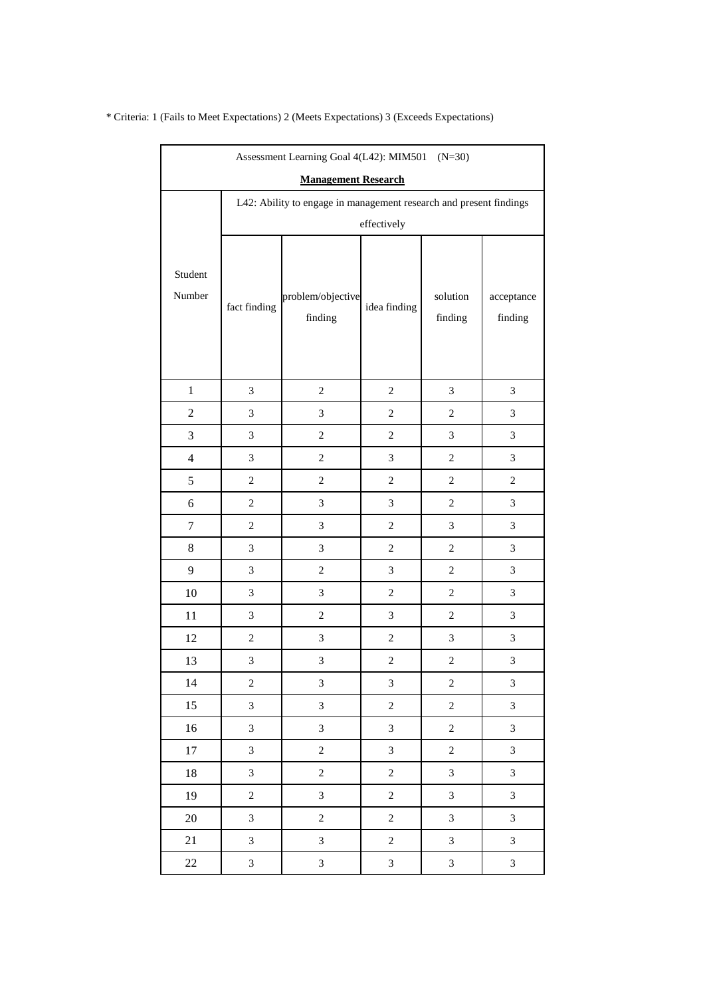| Assessment Learning Goal 4(L42): MIM501 (N=30) |                                                                    |                              |                  |                             |                             |  |  |
|------------------------------------------------|--------------------------------------------------------------------|------------------------------|------------------|-----------------------------|-----------------------------|--|--|
| <b>Management Research</b>                     |                                                                    |                              |                  |                             |                             |  |  |
|                                                | L42: Ability to engage in management research and present findings |                              |                  |                             |                             |  |  |
|                                                | effectively                                                        |                              |                  |                             |                             |  |  |
| Student<br>Number                              | fact finding                                                       | problem/objective<br>finding | idea finding     | solution<br>finding         | acceptance<br>finding       |  |  |
| $\mathbf{1}$                                   | $\mathfrak{Z}$                                                     | $\overline{c}$               | $\overline{c}$   | $\mathfrak{Z}$              | $\mathfrak{Z}$              |  |  |
| $\sqrt{2}$                                     | $\mathfrak{Z}$                                                     | 3                            | $\boldsymbol{2}$ | $\boldsymbol{2}$            | $\mathfrak{Z}$              |  |  |
| 3                                              | $\mathfrak{Z}$                                                     | $\overline{c}$               | $\overline{c}$   | $\mathfrak{Z}$              | 3                           |  |  |
| $\overline{4}$                                 | $\mathfrak{Z}$                                                     | $\overline{c}$               | 3                | 2                           | 3                           |  |  |
| 5                                              | $\,2$                                                              | $\sqrt{2}$                   | $\boldsymbol{2}$ | $\boldsymbol{2}$            | $\sqrt{2}$                  |  |  |
| 6                                              | $\overline{2}$                                                     | $\mathfrak{Z}$               | 3                | $\overline{2}$              | 3                           |  |  |
| $\tau$                                         | $\boldsymbol{2}$                                                   | 3                            | $\overline{c}$   | $\mathfrak{Z}$              | $\ensuremath{\mathfrak{Z}}$ |  |  |
| 8                                              | $\mathfrak{Z}$                                                     | 3                            | $\boldsymbol{2}$ | $\boldsymbol{2}$            | 3                           |  |  |
| 9                                              | $\mathfrak{Z}$                                                     | $\overline{c}$               | 3                | $\overline{2}$              | 3                           |  |  |
| 10                                             | $\mathfrak{Z}$                                                     | 3                            | $\overline{c}$   | $\overline{c}$              | 3                           |  |  |
| 11                                             | $\mathfrak{Z}$                                                     | $\overline{c}$               | 3                | $\overline{c}$              | 3                           |  |  |
| 12                                             | $\,2$                                                              | 3                            | $\overline{c}$   | 3                           | $\mathfrak{Z}$              |  |  |
| 13                                             | $\mathfrak{Z}$                                                     | 3                            | $\boldsymbol{2}$ | $\boldsymbol{2}$            | $\mathfrak{Z}$              |  |  |
| 14                                             | $\boldsymbol{2}$                                                   | 3                            | $\mathfrak{Z}$   | $\sqrt{2}$                  | $\overline{3}$              |  |  |
| 15                                             | $\overline{3}$                                                     | $\overline{3}$               | $\overline{c}$   | $\overline{c}$              | $\mathfrak 3$               |  |  |
| 16                                             | 3                                                                  | 3                            | $\mathfrak{Z}$   | $\sqrt{2}$                  | $\mathfrak 3$               |  |  |
| 17                                             | 3                                                                  | $\boldsymbol{2}$             | 3                | $\sqrt{2}$                  | 3                           |  |  |
| $18\,$                                         | $\mathfrak{Z}$                                                     | $\sqrt{2}$                   | $\sqrt{2}$       | $\mathfrak{Z}$              | $\mathfrak 3$               |  |  |
| 19                                             | $\overline{c}$                                                     | 3                            | $\overline{c}$   | $\mathfrak{Z}$              | 3                           |  |  |
| $20\,$                                         | $\overline{3}$                                                     | $\boldsymbol{2}$             | $\sqrt{2}$       | $\mathfrak{Z}$              | $\mathfrak{Z}$              |  |  |
| 21                                             | $\mathfrak{Z}$                                                     | $\mathfrak{Z}$               | $\sqrt{2}$       | $\mathfrak{Z}$              | $\mathfrak{Z}$              |  |  |
| 22                                             | $\mathfrak{Z}$                                                     | 3                            | 3                | $\ensuremath{\mathfrak{Z}}$ | $\ensuremath{\mathfrak{Z}}$ |  |  |